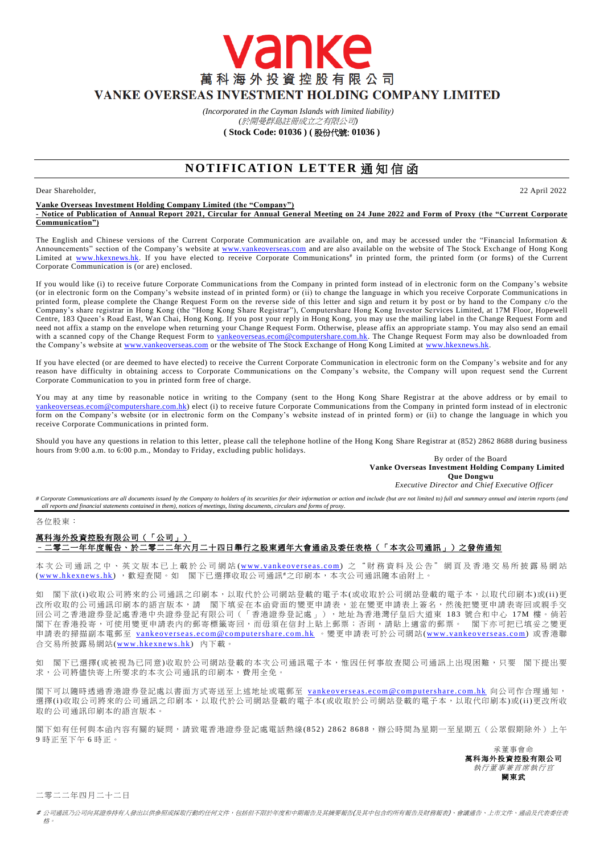萬科海外投資控股有限公司 VANKE OVERSEAS INVESTMENT HOLDING COMPANY LIMITED

> *(Incorporated in the Cayman Islands with limited liability) (*於開曼群島註冊成立之有限公司*)*

vanke

**( Stock Code: 01036 ) (** 股份代號: **01036 )**

# **NOTIFICATION LETTER 通知信函**

## Dear Shareholder, 22 April 2022

**Vanke Overseas Investment Holding Company Limited (the "Company") - Notice of Publication of Annual Report 2021, Circular for Annual General Meeting on 24 June 2022 and Form of Proxy (the "Current Corporate Communication")**

The English and Chinese versions of the Current Corporate Communication are available on, and may be accessed under the "Financial Information & Announcements" section of the Company's website at [www.vankeoverseas.com](http://www.vankeoverseas.com/) and are also available on the website of The Stock Exchange of Hong Kong Limited at [www.hkexnews.hk.](http://www.hkexnews.hk/) If you have elected to receive Corporate Communications<sup>#</sup> in printed form, the printed form (or forms) of the Current Corporate Communication is (or are) enclosed.

If you would like (i) to receive future Corporate Communications from the Company in printed form instead of in electronic form on the Company's website (or in electronic form on the Company's website instead of in printed form) or (ii) to change the language in which you receive Corporate Communications in printed form, please complete the Change Request Form on the reverse side of this letter and sign and return it by post or by hand to the Company c/o the Company's share registrar in Hong Kong (the "Hong Kong Share Registrar"), Computershare Hong Kong Investor Services Limited, at 17M Floor, Hopewell Centre, 183 Queen's Road East, Wan Chai, Hong Kong. If you post your reply in Hong Kong, you may use the mailing label in the Change Request Form and need not affix a stamp on the envelope when returning your Change Request Form. Otherwise, please affix an appropriate stamp. You may also send an email with a scanned copy of the Change Request Form to [vankeoverseas.ecom@computershare.com.hk.](mailto:vankeoverseas.ecom@computershare.com.hk) The Change Request Form may also be downloaded from the Company's website a[t www.vankeoverseas.com](http://www.vankeoverseas.com/) or the website of The Stock Exchange of Hong Kong Limited at [www.hkexnews.hk.](http://www.hkexnews.hk/)

If you have elected (or are deemed to have elected) to receive the Current Corporate Communication in electronic form on the Company's website and for any reason have difficulty in obtaining access to Corporate Communications on the Company's website, the Company will upon request send the Current Corporate Communication to you in printed form free of charge.

You may at any time by reasonable notice in writing to the Company (sent to the Hong Kong Share Registrar at the above address or by email to [vankeoverseas.ecom@computershare.com.hk\)](mailto:vankeoverseas.ecom@computershare.com.hk) elect (i) to receive future Corporate Communications from the Company in printed form instead of in electronic form on the Company's website (or in electronic form on the Company's website instead of in printed form) or (ii) to change the language in which you receive Corporate Communications in printed form.

Should you have any questions in relation to this letter, please call the telephone hotline of the Hong Kong Share Registrar at (852) 2862 8688 during business hours from 9:00 a.m. to 6:00 p.m., Monday to Friday, excluding public holidays.

By order of the Board **Vanke Overseas Investment Holding Company Limited Que Dongwu**

*Executive Director and Chief Executive Officer*

# Corporate Communications are all documents issued by the Company to holders of its securities for their information or action and include (but are not limited to) full and summary annual and interim reports (and *all reports and financial statements contained in them), notices of meetings, listing documents, circulars and forms of proxy.*

## 各位股東:

## 萬科海外投資控股有限公司(「公司」) –二零二一年年度報告、於二零二二年六月二十四日舉行之股東週年大會通函及委任表格(「本次公司通訊」)之發佈通知

本 次 公 司 通 訊 之 中 、 英 文 版 本 已 上 載 於 公 司 網 站 (www.vankeoverseas.com) 之 " 財 務 資 料 及 公 告 " 網 頁 及 香 港 交 易 所 披 露 易 網 站 (www.hkexnews.hk), 歡迎查閱。如 閣下已選擇收取公司通訊#之印刷本,本次公司通訊隨本函附上。

閣下欲(i)收取公司將來的公司通訊之印刷本,以取代於公司網站登載的電子本(或收取於公司網站登載的電子本,以取代印刷本)或(ii)更 改所收取的公司通訊印刷本的語言版本,請 閣下填妥在本函背面的變更申請表,並在變更申請表上簽名,然後把變更申請表寄回或親手交 回公司之香港證券登記處香港中央證券登記有限公司(「香港證券登記處」),地址為香港灣仔皇后大道東 183 號合和中心 17M 樓。倘若 图下在香港投寄,可使用變更申請表內的郵寄標籤寄回,而毋須在信封上貼上郵票;否則,請貼上適當的郵票。 閣下亦可把已填妥之變更 申請表的掃描副本電郵至 vankeoverseas.ecom@computershare.com.hk 。變更申請表可於公司網站(www.vankeoverseas.com) 或香港聯 合交易所披露易網站(www.hkexnews.hk) 内下載。

如 閣下已選擇(或被視為已同意)收取於公司網站登載的本次公司通訊電子本,惟因任何事故查閱公司通訊上出現困難,只要 閣下提出要 求,公司將儘快寄上所要求的本次公司通訊的印刷本,費用全免。

閣下可以隨時透過香港證券登記處以書面方式寄送至上述地址或電郵至 vankeoverseas.ecom@computershare.com.hk 向公司作合理通知, 選擇(i)收取公司將來的公司通訊之印刷本,以取代於公司網站登載的電子本(或收取於公司網站登載的電子本,以取代印刷本)或(ii)更改所收 取的公司通訊印刷本的語言版本。

閣下如有任何與本函內容有關的疑問,請致電香港證券登記處電話熱線( 852) 2862 8688,辦公時間為星期一至星期五(公眾假期除外)上午 9 時正至下午 6 時正。

> 承董事會命 萬科海外投資控股有限公司 執行董事兼首席執行官 闕東武

二零二二年四月二十二日

# 公司通訊乃公司向其證券持有人發出以供參照或採取行動的任何文件,包括但不限於年度和中期報告及其摘要報告(及其中包含的所有報告及財務報表)、會議通告、上市文件、通函及代表委任表 格。